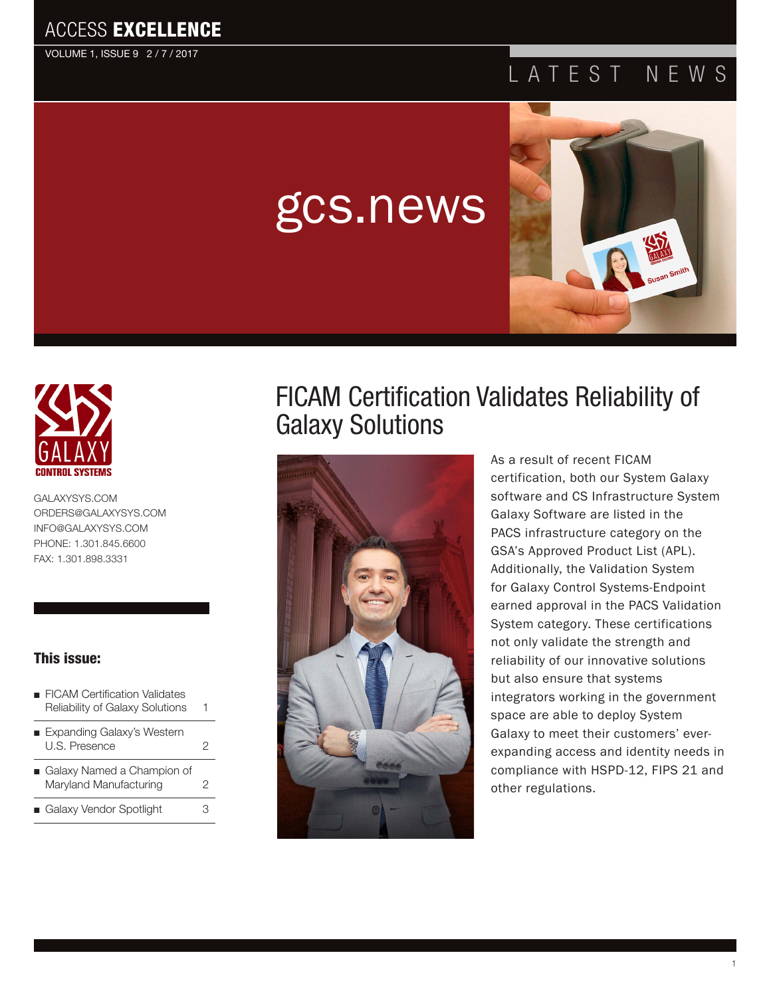#### ACCESS EXCELLENCE

VOLUME 1, ISSUE 9 2 / 7 / 2017

## LATEST NEWS

# gcs.news





[GALAXYSYS.COM](http://www.GALAXYSYS.COM) [ORDERS@GALAXYSYS.COM](mailto:ORDERS@GALAXYSYS.COM) [INFO@GALAXYSYS.COM](http://www.INFO@GALAXYSYS.COM) PHONE: 1.301.845.6600 FAX: 1.301.898.3331

#### This issue:

- FICAM Certification Validates Reliability of Galaxy Solutions 1
- Expanding Galaxy's Western U.S. Presence [2](#page-2-0)
- Galaxy Named a Champion of Maryland Manufacturing 2
- Galaxy Vendor Spotlight 3

# FICAM Certification Validates Reliability of Galaxy Solutions



As a result of recent FICAM certification, both our System Galaxy software and CS Infrastructure System Galaxy Software are listed in the PACS infrastructure category on the GSA's Approved Product List (APL). Additionally, the Validation System for Galaxy Control Systems-Endpoint earned approval in the PACS Validation System category. These certifications not only validate the strength and reliability of our innovative solutions but also ensure that systems integrators working in the government space are able to deploy System Galaxy to meet their customers' everexpanding access and identity needs in compliance with HSPD-12, FIPS 21 and other regulations.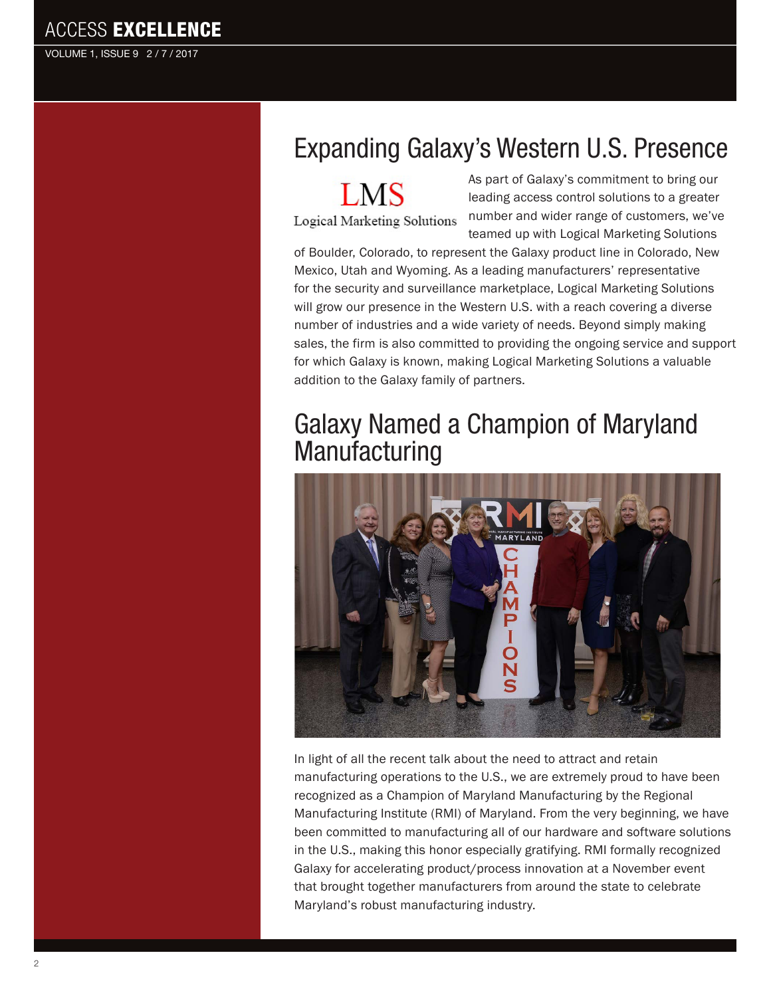**ACCESS EXCELLENCE** 

VOLUME 1, ISSUE 9 2 / 7 / 2017

# Expanding Galaxy's Western U.S. Presence

**LMS** 

Logical Marketing Solutions

As part of Galaxy's commitment to bring our leading access control solutions to a greater number and wider range of customers, we've teamed up with Logical Marketing Solutions

of Boulder, Colorado, to represent the Galaxy product line in Colorado, New Mexico, Utah and Wyoming. As a leading manufacturers' representative for the security and surveillance marketplace, Logical Marketing Solutions will grow our presence in the Western U.S. with a reach covering a diverse number of industries and a wide variety of needs. Beyond simply making sales, the firm is also committed to providing the ongoing service and support for which Galaxy is known, making Logical Marketing Solutions a valuable addition to the Galaxy family of partners.

#### Galaxy Named a Champion of Maryland **Manufacturing**



In light of all the recent talk about the need to attract and retain manufacturing operations to the U.S., we are extremely proud to have been recognized as a Champion of Maryland Manufacturing by the Regional Manufacturing Institute (RMI) of Maryland. From the very beginning, we have been committed to manufacturing all of our hardware and software solutions in the U.S., making this honor especially gratifying. RMI formally recognized Galaxy for accelerating product/process innovation at a November event that brought together manufacturers from around the state to celebrate Maryland's robust manufacturing industry.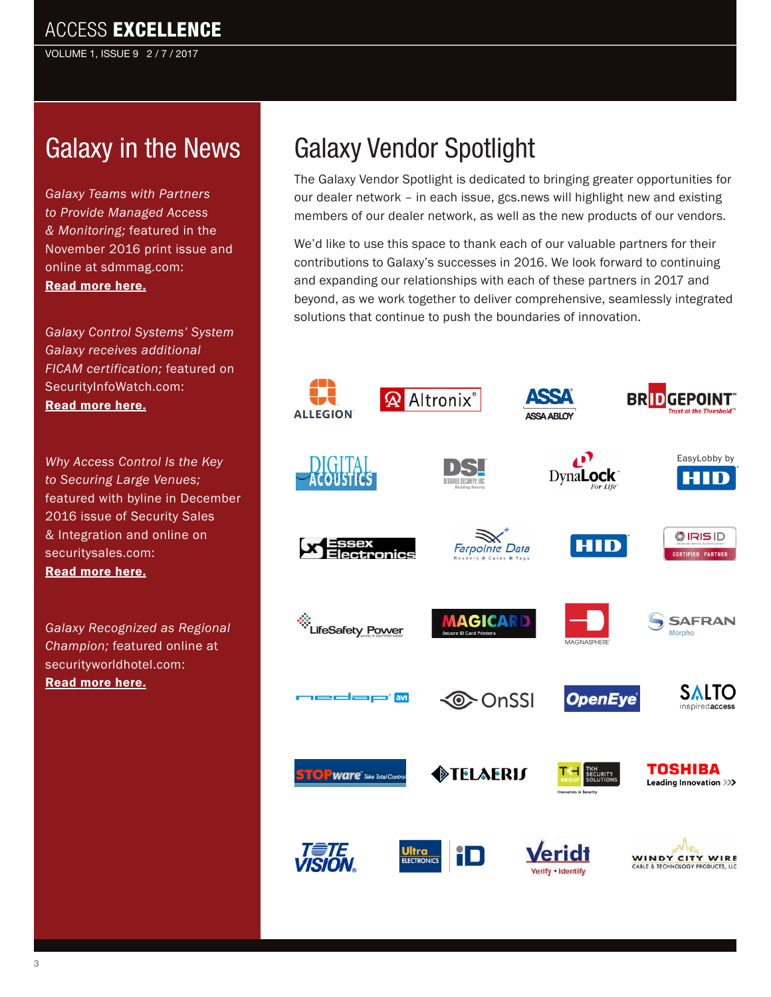<span id="page-2-0"></span>VOLUME 1, ISSUE 9 2 / 7 / 2017

# Galaxy in the News

*Galaxy Teams with Partners to Provide Managed Access & Monitoring;* featured in the November 2016 print issue and online at sdmmag.com: [Read more here.](http://www.sdmmag.com/articles/93049-galaxy-teams-with-partners-to-provide-managed-access-monitoring )

*Galaxy Control Systems' System Galaxy receives additional FICAM certification;* featured on SecurityInfoWatch.com: [Read more here.](http://www.securityinfowatch.com/press_release/12281278/galaxy-control-systems-system-galaxy-receives-additional-ficam-certification)

*Why Access Control Is the Key to Securing Large Venues;*  featured with byline in December 2016 issue of Security Sales & Integration and online on securitysales.com: [Read more here.](http://www.securitysales.com/article/access_control_is_key_securing_large_venues?utm_source=rewind&utm_medium=email&utm_campaign=editorial&eid=343130243&bid=1624834 )

*Galaxy Recognized as Regional Champion;* featured online at securityworldhotel.com: [Read more here.](http://www.securityworldhotel.com/na/News/Business-News/galaxy-recognised-as-regional-champion#.WFGs01MrKM8 )

# Galaxy Vendor Spotlight

The Galaxy Vendor Spotlight is dedicated to bringing greater opportunities for our dealer network – in each issue, gcs.news will highlight new and existing members of our dealer network, as well as the new products of our vendors.

We'd like to use this space to thank each of our valuable partners for their contributions to Galaxy's successes in 2016. We look forward to continuing and expanding our relationships with each of these partners in 2017 and beyond, as we work together to deliver comprehensive, seamlessly integrated solutions that continue to push the boundaries of innovation.